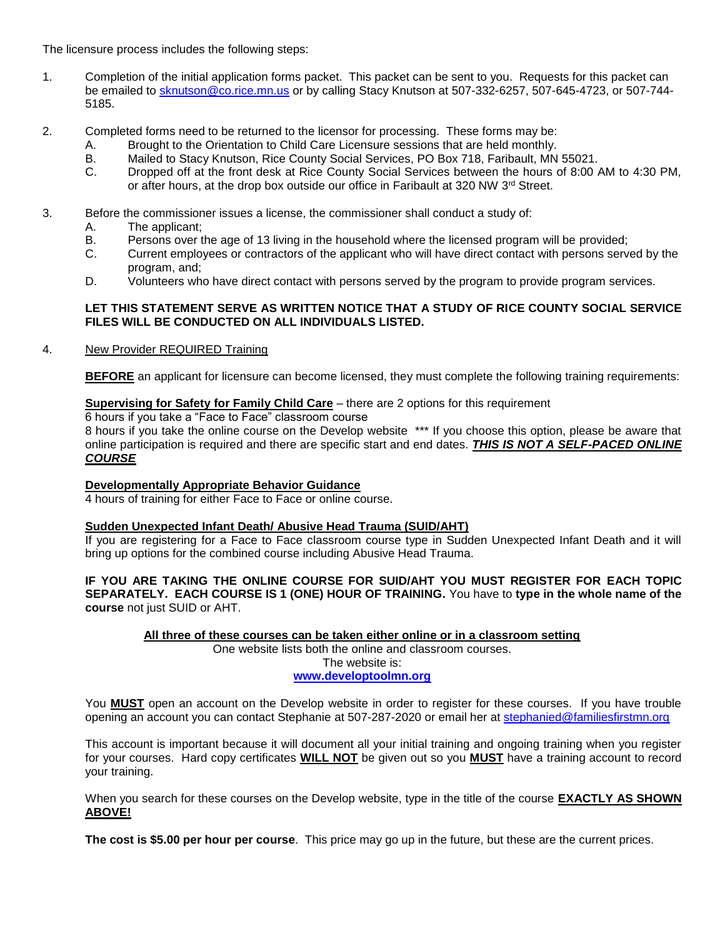The licensure process includes the following steps:

- 1. Completion of the initial application forms packet. This packet can be sent to you. Requests for this packet can be emailed to [sknutson@co.rice.mn.us](mailto:sknutson@co.rice.mn.us) or by calling Stacy Knutson at 507-332-6257, 507-645-4723, or 507-744- 5185.
- 2. Completed forms need to be returned to the licensor for processing. These forms may be:
	- A. Brought to the Orientation to Child Care Licensure sessions that are held monthly.
	- B. Mailed to Stacy Knutson, Rice County Social Services, PO Box 718, Faribault, MN 55021.
	- C. Dropped off at the front desk at Rice County Social Services between the hours of 8:00 AM to 4:30 PM, or after hours, at the drop box outside our office in Faribault at 320 NW 3<sup>rd</sup> Street.
- 3. Before the commissioner issues a license, the commissioner shall conduct a study of:
	- A. The applicant;
	- B. Persons over the age of 13 living in the household where the licensed program will be provided;
	- C. Current employees or contractors of the applicant who will have direct contact with persons served by the program, and;
	- D. Volunteers who have direct contact with persons served by the program to provide program services.

## **LET THIS STATEMENT SERVE AS WRITTEN NOTICE THAT A STUDY OF RICE COUNTY SOCIAL SERVICE FILES WILL BE CONDUCTED ON ALL INDIVIDUALS LISTED.**

4. New Provider REQUIRED Training

**BEFORE** an applicant for licensure can become licensed, they must complete the following training requirements:

# **Supervising for Safety for Family Child Care** – there are 2 options for this requirement

6 hours if you take a "Face to Face" classroom course

8 hours if you take the online course on the Develop website \*\*\* If you choose this option, please be aware that online participation is required and there are specific start and end dates. *THIS IS NOT A SELF-PACED ONLINE COURSE*

# **Developmentally Appropriate Behavior Guidance**

4 hours of training for either Face to Face or online course.

# **Sudden Unexpected Infant Death/ Abusive Head Trauma (SUID/AHT)**

If you are registering for a Face to Face classroom course type in Sudden Unexpected Infant Death and it will bring up options for the combined course including Abusive Head Trauma.

## **IF YOU ARE TAKING THE ONLINE COURSE FOR SUID/AHT YOU MUST REGISTER FOR EACH TOPIC SEPARATELY. EACH COURSE IS 1 (ONE) HOUR OF TRAINING.** You have to **type in the whole name of the course** not just SUID or AHT.

**All three of these courses can be taken either online or in a classroom setting**

One website lists both the online and classroom courses. The website is: **[www.developtoolmn.org](http://www.developtoolmn.org/)**

You **MUST** open an account on the Develop website in order to register for these courses. If you have trouble opening an account you can contact Stephanie at 507-287-2020 or email her at [stephanied@familiesfirstmn.org](mailto:stephanied@familiesfirstmn.org)

This account is important because it will document all your initial training and ongoing training when you register for your courses. Hard copy certificates **WILL NOT** be given out so you **MUST** have a training account to record your training.

When you search for these courses on the Develop website, type in the title of the course **EXACTLY AS SHOWN ABOVE!**

**The cost is \$5.00 per hour per course**. This price may go up in the future, but these are the current prices.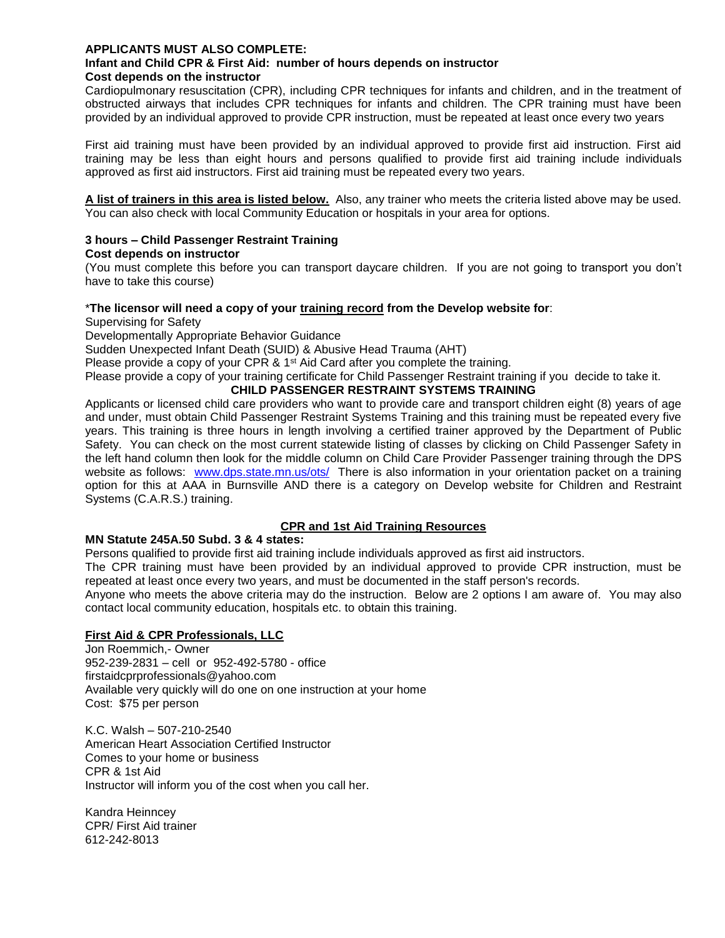## **APPLICANTS MUST ALSO COMPLETE:**

### **Infant and Child CPR & First Aid: number of hours depends on instructor Cost depends on the instructor**

Cardiopulmonary resuscitation (CPR), including CPR techniques for infants and children, and in the treatment of obstructed airways that includes CPR techniques for infants and children. The CPR training must have been provided by an individual approved to provide CPR instruction, must be repeated at least once every two years

First aid training must have been provided by an individual approved to provide first aid instruction. First aid training may be less than eight hours and persons qualified to provide first aid training include individuals approved as first aid instructors. First aid training must be repeated every two years.

**A list of trainers in this area is listed below.** Also, any trainer who meets the criteria listed above may be used. You can also check with local Community Education or hospitals in your area for options.

#### **3 hours – Child Passenger Restraint Training Cost depends on instructor**

(You must complete this before you can transport daycare children. If you are not going to transport you don't have to take this course)

## \***The licensor will need a copy of your training record from the Develop website for**:

Supervising for Safety

Developmentally Appropriate Behavior Guidance

Sudden Unexpected Infant Death (SUID) & Abusive Head Trauma (AHT)

Please provide a copy of your CPR  $\&$  1<sup>st</sup> Aid Card after you complete the training.

Please provide a copy of your training certificate for Child Passenger Restraint training if you decide to take it.

# **CHILD PASSENGER RESTRAINT SYSTEMS TRAINING**

Applicants or licensed child care providers who want to provide care and transport children eight (8) years of age and under, must obtain Child Passenger Restraint Systems Training and this training must be repeated every five years. This training is three hours in length involving a certified trainer approved by the Department of Public Safety. You can check on the most current statewide listing of classes by clicking on Child Passenger Safety in the left hand column then look for the middle column on Child Care Provider Passenger training through the DPS website as follows: [www.dps.state.mn.us/ots/](http://www.dps.state.mn.us/ots/) There is also information in your orientation packet on a training option for this at AAA in Burnsville AND there is a category on Develop website for Children and Restraint Systems (C.A.R.S.) training.

# **CPR and 1st Aid Training Resources**

### **MN Statute 245A.50 Subd. 3 & 4 states:**

Persons qualified to provide first aid training include individuals approved as first aid instructors.

The CPR training must have been provided by an individual approved to provide CPR instruction, must be repeated at least once every two years, and must be documented in the staff person's records.

Anyone who meets the above criteria may do the instruction. Below are 2 options I am aware of. You may also contact local community education, hospitals etc. to obtain this training.

# **First Aid & CPR Professionals, LLC**

Jon Roemmich,- Owner 952-239-2831 – cell or 952-492-5780 - office firstaidcprprofessionals@yahoo.com Available very quickly will do one on one instruction at your home Cost: \$75 per person

K.C. Walsh – 507-210-2540 American Heart Association Certified Instructor Comes to your home or business CPR & 1st Aid Instructor will inform you of the cost when you call her.

Kandra Heinncey CPR/ First Aid trainer 612-242-8013